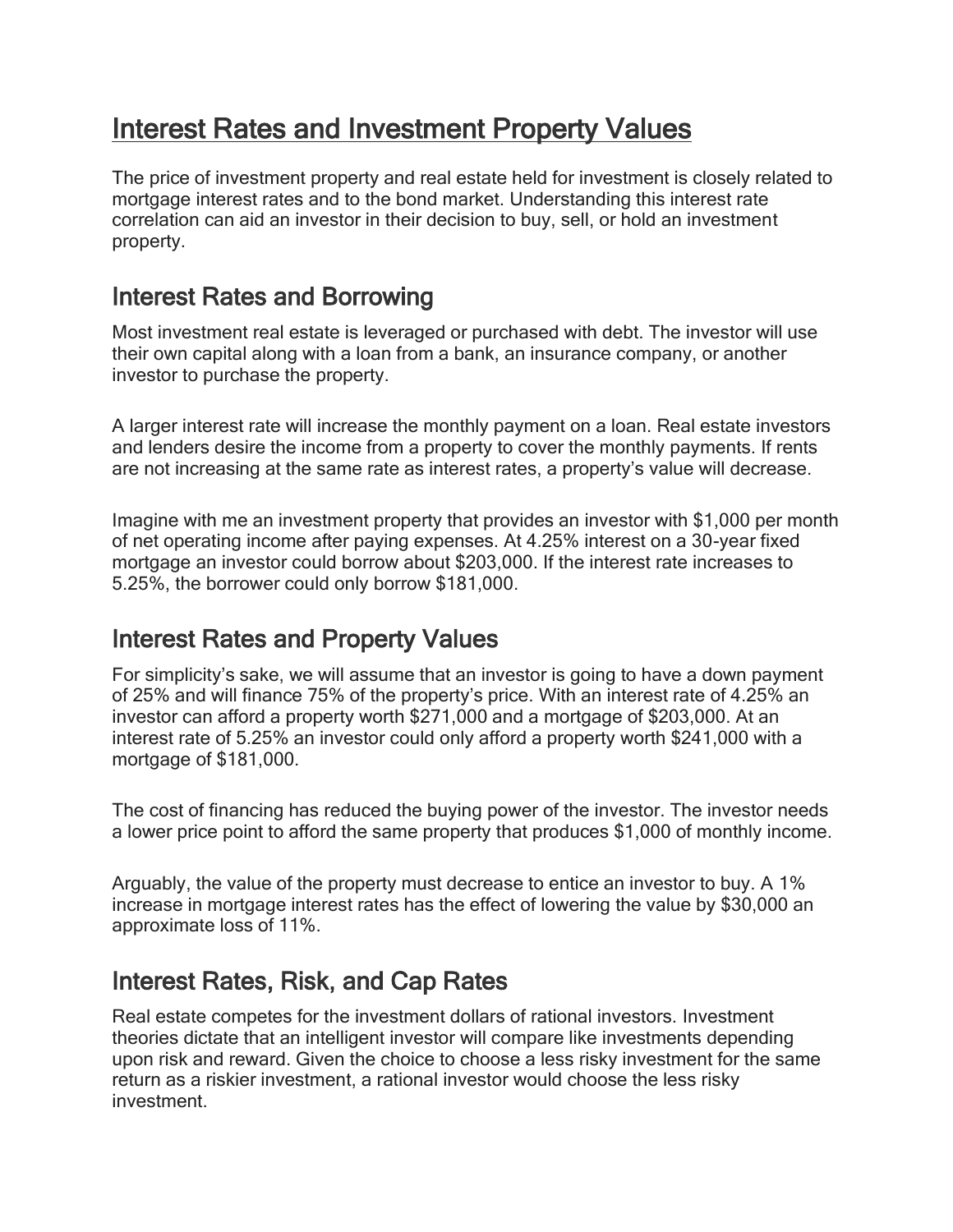# Interest Rates and Investment Property Values

The price of investment property and real estate held for investment is closely related to mortgage interest rates and to the bond market. Understanding this interest rate correlation can aid an investor in their decision to buy, sell, or hold an investment property.

#### Interest Rates and Borrowing

Most investment real estate is leveraged or purchased with debt. The investor will use their own capital along with a loan from a bank, an insurance company, or another investor to purchase the property.

A larger interest rate will increase the monthly payment on a loan. Real estate investors and lenders desire the income from a property to cover the monthly payments. If rents are not increasing at the same rate as interest rates, a property's value will decrease.

Imagine with me an investment property that provides an investor with \$1,000 per month of net operating income after paying expenses. At 4.25% interest on a 30-year fixed mortgage an investor could borrow about \$203,000. If the interest rate increases to 5.25%, the borrower could only borrow \$181,000.

### Interest Rates and Property Values

For simplicity's sake, we will assume that an investor is going to have a down payment of 25% and will finance 75% of the property's price. With an interest rate of 4.25% an investor can afford a property worth \$271,000 and a mortgage of \$203,000. At an interest rate of 5.25% an investor could only afford a property worth \$241,000 with a mortgage of \$181,000.

The cost of financing has reduced the buying power of the investor. The investor needs a lower price point to afford the same property that produces \$1,000 of monthly income.

Arguably, the value of the property must decrease to entice an investor to buy. A 1% increase in mortgage interest rates has the effect of lowering the value by \$30,000 an approximate loss of 11%.

### Interest Rates, Risk, and Cap Rates

Real estate competes for the investment dollars of rational investors. Investment theories dictate that an intelligent investor will compare like investments depending upon risk and reward. Given the choice to choose a less risky investment for the same return as a riskier investment, a rational investor would choose the less risky investment.